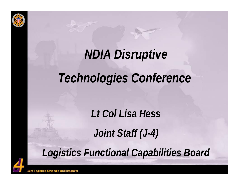

## *NDIA Disruptive*

#### *Technologies Conference*

*Lt Col Lisa Hess*

*Joint Staff (J-4)*

*Logistics Functional Capabilities Board*

Joint Logistics Advocate and Integrator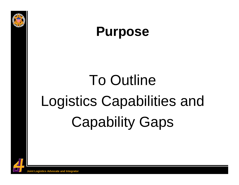



# To Outline Logistics Capabilities and Capability Gaps

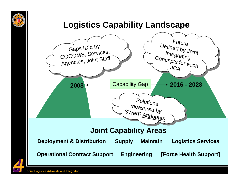

#### **Logistics Capability Landscape**



**Joint Logistics Advocate and Integrator**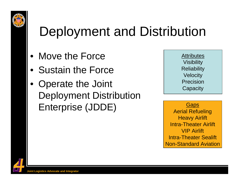

#### Deployment and Distribution

- Move the Force
- Sustain the Force
- Operate the Joint Deployment Distribution Enterprise (JDDE)

Attributes Visibility **Reliability Velocity** Precision**Capacity** 

**Gaps** Aerial Refueling **Heavy Airlift** Intra-Theater AirliftVIP AirliftIntra-Theater Sealift Non-Standard Aviation

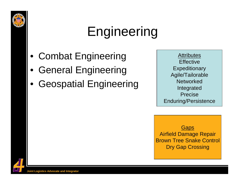

## Engineering

- Combat Engineering
- General Engineering
- Geospatial Engineering

Attributes **Effective** Expeditionary Agile/Tailorable **Networked** Integrated PreciseEnduring/Persistence

**Gaps** Airfield Damage Repair Brown Tree Snake Control Dry Gap Crossing

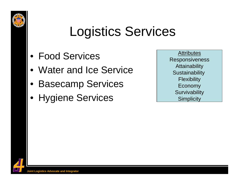

#### Logistics Services

- Food Services
- Water and Ice Service
- Basecamp Services
- Hygiene Services

Attributes Responsiveness **Attainability Sustainability Flexibility** Economy **Survivability Simplicity**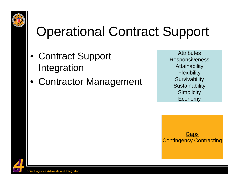

#### Operational Contract Support

- Contract Support Integration
- Contractor Management

Attributes Responsiveness **Attainability Flexibility Survivability Sustainability Simplicity** Economy

**Gaps** Contingency Contracting

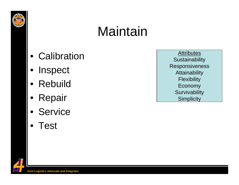

#### **Maintain**

- Calibration
- Inspect
- Rebuild
- Repair
- Service
- Test

Attributes **Sustainability Responsiveness Attainability Flexibility** Economy **Survivability Simplicity**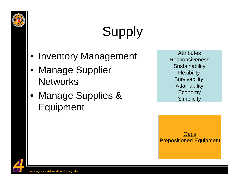

## **Supply**

- Inventory Management
- Manage Supplier **Networks**
- Manage Supplies & Equipment

Attributes Responsiveness **Sustainability Flexibility Survivability Attainability** Economy **Simplicity** 

**Gaps** Prepositioned Equipment

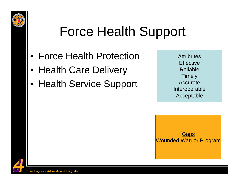

#### Force Health Support

- Force Health Protection
- Health Care Delivery
- Health Service Support

Attributes **Effective** Reliable**Timely Accurate** Interoperable Acceptable

**Gaps** Wounded Warrior Program

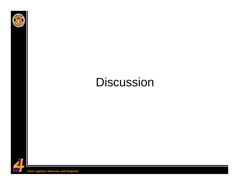

#### **Discussion**

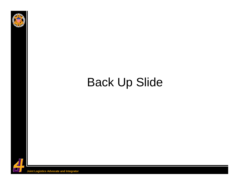

#### Back Up Slide